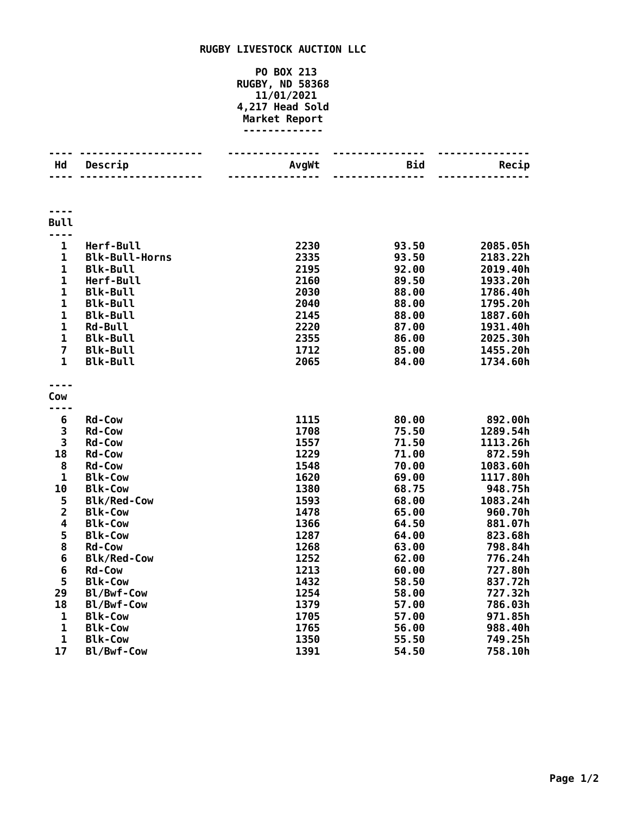## **RUGBY LIVESTOCK AUCTION LLC**

## **PO BOX 213 RUGBY, ND 58368 11/01/2021 4,217 Head Sold Market Report -------------**

| Hd                      | Descrip               | AvgWt | <b>Bid</b> | Recip    |
|-------------------------|-----------------------|-------|------------|----------|
|                         |                       |       |            |          |
|                         |                       |       |            |          |
| <b>Bull</b>             |                       |       |            |          |
| $\mathbf 1$             | Herf-Bull             | 2230  | 93.50      | 2085.05h |
| $\mathbf{1}$            | <b>Blk-Bull-Horns</b> | 2335  | 93.50      | 2183.22h |
| $\mathbf{1}$            | <b>Blk-Bull</b>       | 2195  | 92.00      | 2019.40h |
| $\mathbf{1}$            | Herf-Bull             | 2160  | 89.50      | 1933.20h |
| $\mathbf{1}$            | <b>Blk-Bull</b>       | 2030  | 88.00      | 1786.40h |
| $\mathbf 1$             | <b>Blk-Bull</b>       | 2040  | 88.00      | 1795.20h |
| $\mathbf 1$             | <b>Blk-Bull</b>       | 2145  | 88.00      | 1887.60h |
| $\mathbf{1}$            | <b>Rd-Bull</b>        | 2220  | 87.00      | 1931.40h |
| $\mathbf{1}$            | <b>Blk-Bull</b>       | 2355  | 86.00      | 2025.30h |
| $\overline{7}$          | <b>Blk-Bull</b>       | 1712  | 85.00      | 1455.20h |
| $\mathbf{1}$            | <b>Blk-Bull</b>       | 2065  | 84.00      | 1734.60h |
|                         |                       |       |            |          |
|                         |                       |       |            |          |
| Cow                     |                       |       |            |          |
|                         |                       |       |            |          |
| 6                       | <b>Rd-Cow</b>         | 1115  | 80.00      | 892.00h  |
| 3                       | <b>Rd-Cow</b>         | 1708  | 75.50      | 1289.54h |
| 3                       | Rd-Cow                | 1557  | 71.50      | 1113.26h |
| 18                      | <b>Rd-Cow</b>         | 1229  | 71.00      | 872.59h  |
| 8                       | <b>Rd-Cow</b>         | 1548  | 70.00      | 1083.60h |
| $\mathbf 1$             | <b>Blk-Cow</b>        | 1620  | 69.00      | 1117.80h |
| 10                      | <b>Blk-Cow</b>        | 1380  | 68.75      | 948.75h  |
| 5                       | <b>Blk/Red-Cow</b>    | 1593  | 68.00      | 1083.24h |
| $\overline{\mathbf{c}}$ | <b>Blk-Cow</b>        | 1478  | 65.00      | 960.70h  |
| 4                       | <b>Blk-Cow</b>        | 1366  | 64.50      | 881.07h  |
| 5                       | <b>Blk-Cow</b>        | 1287  | 64.00      | 823.68h  |
| 8                       | <b>Rd-Cow</b>         | 1268  | 63.00      | 798.84h  |
| 6                       | <b>Blk/Red-Cow</b>    | 1252  | 62.00      | 776.24h  |
| 6                       | <b>Rd-Cow</b>         | 1213  | 60.00      | 727.80h  |
| 5                       | <b>Blk-Cow</b>        | 1432  | 58.50      | 837.72h  |
| 29                      | Bl/Bwf-Cow            | 1254  | 58.00      | 727.32h  |
| 18                      | Bl/Bwf-Cow            | 1379  | 57.00      | 786.03h  |
| $\mathbf{1}$            | <b>Blk-Cow</b>        | 1705  | 57.00      | 971.85h  |
| $\mathbf{1}$            | <b>Blk-Cow</b>        | 1765  | 56.00      | 988.40h  |
| $\mathbf 1$             | <b>Blk-Cow</b>        | 1350  | 55.50      | 749.25h  |
| 17                      | Bl/Bwf-Cow            | 1391  | 54.50      | 758.10h  |